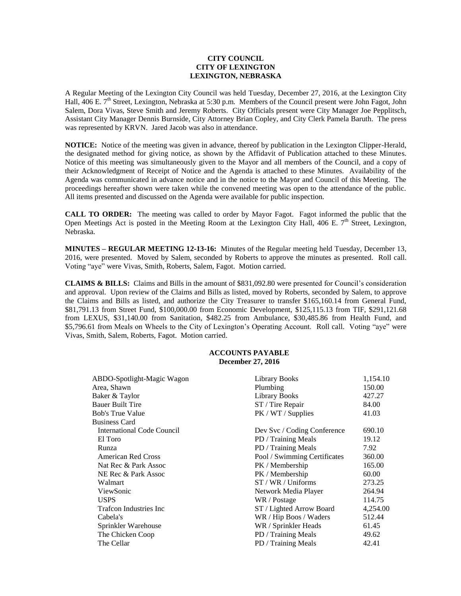## **CITY COUNCIL CITY OF LEXINGTON LEXINGTON, NEBRASKA**

A Regular Meeting of the Lexington City Council was held Tuesday, December 27, 2016, at the Lexington City Hall, 406 E. 7<sup>th</sup> Street, Lexington, Nebraska at 5:30 p.m. Members of the Council present were John Fagot, John Salem, Dora Vivas, Steve Smith and Jeremy Roberts. City Officials present were City Manager Joe Pepplitsch, Assistant City Manager Dennis Burnside, City Attorney Brian Copley, and City Clerk Pamela Baruth. The press was represented by KRVN. Jared Jacob was also in attendance.

**NOTICE:** Notice of the meeting was given in advance, thereof by publication in the Lexington Clipper-Herald, the designated method for giving notice, as shown by the Affidavit of Publication attached to these Minutes. Notice of this meeting was simultaneously given to the Mayor and all members of the Council, and a copy of their Acknowledgment of Receipt of Notice and the Agenda is attached to these Minutes. Availability of the Agenda was communicated in advance notice and in the notice to the Mayor and Council of this Meeting. The proceedings hereafter shown were taken while the convened meeting was open to the attendance of the public. All items presented and discussed on the Agenda were available for public inspection.

**CALL TO ORDER:** The meeting was called to order by Mayor Fagot. Fagot informed the public that the Open Meetings Act is posted in the Meeting Room at the Lexington City Hall, 406 E.  $7<sup>th</sup>$  Street, Lexington, Nebraska.

**MINUTES – REGULAR MEETING 12-13-16:** Minutes of the Regular meeting held Tuesday, December 13, 2016, were presented. Moved by Salem, seconded by Roberts to approve the minutes as presented. Roll call. Voting "aye" were Vivas, Smith, Roberts, Salem, Fagot. Motion carried.

**CLAIMS & BILLS:** Claims and Bills in the amount of \$831,092.80 were presented for Council's consideration and approval. Upon review of the Claims and Bills as listed, moved by Roberts, seconded by Salem, to approve the Claims and Bills as listed, and authorize the City Treasurer to transfer \$165,160.14 from General Fund, \$81,791.13 from Street Fund, \$100,000.00 from Economic Development, \$125,115.13 from TIF, \$291,121.68 from LEXUS, \$31,140.00 from Sanitation, \$482.25 from Ambulance, \$30,485.86 from Health Fund, and \$5,796.61 from Meals on Wheels to the City of Lexington's Operating Account. Roll call. Voting "aye" were Vivas, Smith, Salem, Roberts, Fagot. Motion carried.

## **ACCOUNTS PAYABLE December 27, 2016**

| ABDO-Spotlight-Magic Wagon        | <b>Library Books</b>         | 1,154.10 |
|-----------------------------------|------------------------------|----------|
| Area, Shawn                       | Plumbing                     | 150.00   |
| Baker & Taylor                    | <b>Library Books</b>         | 427.27   |
| <b>Bauer Built Tire</b>           | ST / Tire Repair             | 84.00    |
| <b>Bob's True Value</b>           | PK / WT / Supplies           | 41.03    |
| <b>Business Card</b>              |                              |          |
| <b>International Code Council</b> | Dev Svc / Coding Conference  | 690.10   |
| El Toro                           | PD / Training Meals          | 19.12    |
| Runza                             | PD / Training Meals          | 7.92     |
| <b>American Red Cross</b>         | Pool / Swimming Certificates | 360.00   |
| Nat Rec & Park Assoc              | PK / Membership              | 165.00   |
| NE Rec & Park Assoc               | PK / Membership              | 60.00    |
| Walmart                           | ST / WR / Uniforms           | 273.25   |
| ViewSonic                         | Network Media Player         | 264.94   |
| <b>USPS</b>                       | WR / Postage                 | 114.75   |
| Trafcon Industries Inc            | ST / Lighted Arrow Board     | 4,254.00 |
| Cabela's                          | WR / Hip Boos / Waders       | 512.44   |
| Sprinkler Warehouse               | WR / Sprinkler Heads         | 61.45    |
| The Chicken Coop                  | PD / Training Meals          | 49.62    |
| The Cellar                        | PD / Training Meals          | 42.41    |
|                                   |                              |          |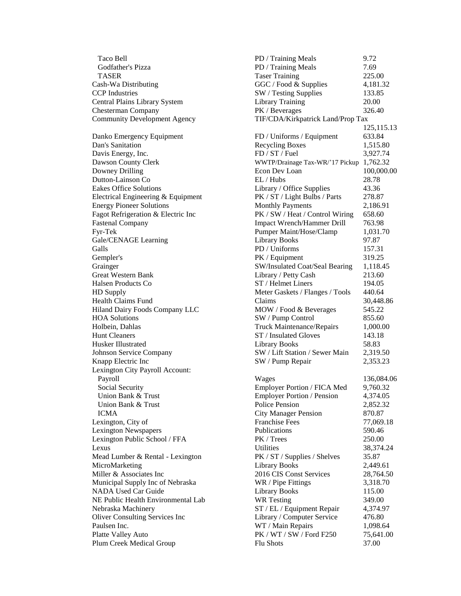Community Development Agency TIF/CDA/Kirkpatrick Land/Prop Tax Lexington City Payroll Account:

Taco Bell PD / Training Meals 9.72 Godfather's Pizza **PD** / Training Meals 7.69 TASER Taser Training 225.00 Cash-Wa Distributing GGC / Food & Supplies 4,181.32 CCP Industries SW / Testing Supplies 133.85 Central Plains Library System Library Training 20.00 Chesterman Company PK / Beverages 326.40 125,115.13 Danko Emergency Equipment FD / Uniforms / Equipment 633.84 Dan's Sanitation **Recycling Boxes** 1,515.80 Davis Energy, Inc. 6. The FD / ST / Fuel 3,927.74 Dawson County Clerk WWTP/Drainage Tax-WR/'17 Pickup 1,762.32 Downey Drilling Econ Dev Loan 100,000.00 Dutton-Lainson Co EL / Hubs 28.78 Eakes Office Solutions Library / Office Supplies 43.36 Electrical Engineering & Equipment PK / ST / Light Bulbs / Parts 278.87 Energy Pioneer Solutions Monthly Payments 2,186.91 Fagot Refrigeration & Electric Inc PK / SW / Heat / Control Wiring 658.60 Fastenal Company **Impact Wrench/Hammer Drill** 763.98 Fyr-Tek Pumper Maint/Hose/Clamp 1,031.70 Gale/CENAGE Learning Library Books 97.87 Galls **PD** / Uniforms 157.31 Gempler's PK / Equipment 319.25 Grainger SW/Insulated Coat/Seal Bearing 1,118.45 Great Western Bank **Library / Petty Cash** 213.60 Halsen Products Co **ST** / Helmet Liners 194.05 HD Supply Meter Gaskets / Flanges / Tools 440.64 Health Claims Fund Claims 30,448.86 Hiland Dairy Foods Company LLC MOW / Food & Beverages 545.22 HOA Solutions SW / Pump Control 855.60 Holbein, Dahlas Truck Maintenance/Repairs 1,000.00 Hunt Cleaners **ST** / Insulated Gloves 143.18 Husker Illustrated Library Books 58.83 Johnson Service Company SW / Lift Station / Sewer Main 2,319.50 Knapp Electric Inc **SW** / Pump Repair 2,353.23 Payroll **Wages** 236,084.06 Social Security **Employer Portion / FICA Med** 9,760.32 Union Bank & Trust **Employer Portion / Pension** 4,374.05 Union Bank & Trust **Police Pension** 2,852.32 ICMA City Manager Pension 870.87 Lexington, City of Franchise Fees 77,069.18 Lexington Newspapers Publications 590.46 Lexington Public School / FFA PK / Trees 250.00 Lexus 38,374.24 Mead Lumber & Rental - Lexington PK / ST / Supplies / Shelves 35.87 MicroMarketing 2,449.61 Miller & Associates Inc 2016 CIS Const Services 28,764.50 Municipal Supply Inc of Nebraska WR / Pipe Fittings 3,318.70 NADA Used Car Guide **Library Books** 115.00 NE Public Health Environmental Lab WR Testing 349.00 Nebraska Machinery ST / EL / Equipment Repair 4,374.97 Oliver Consulting Services Inc Library / Computer Service 476.80 Paulsen Inc. **WI** / Main Repairs 1,098.64 Platte Valley Auto **PK** / WT / SW / Ford F250 75,641.00 Plum Creek Medical Group Flu Shots 57.00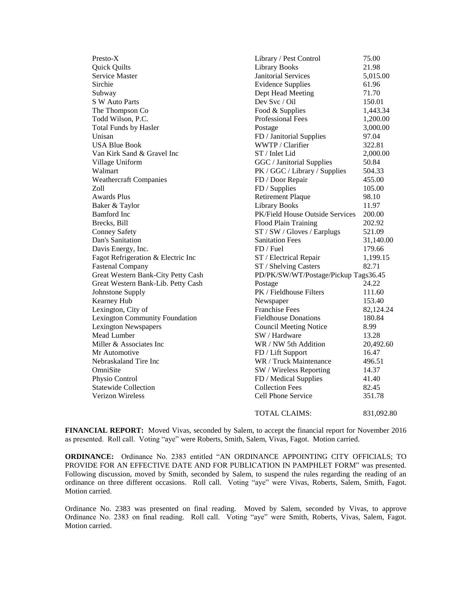Quick Quilts Library Books 21.98 Service Master **1988** Service Master **5,015.00** Janitorial Services 5,015.00 Sirchie Evidence Supplies 61.96 Subway Dept Head Meeting 71.70 S W Auto Parts Dev Svc / Oil 150.01 The Thompson Co Food & Supplies 1,443.34 Todd Wilson, P.C. **Professional Fees** 1,200.00 Total Funds by Hasler **Postage** 2,000.00 Unisan FD / Janitorial Supplies 97.04 USA Blue Book **WWTP** / Clarifier 322.81 Van Kirk Sand & Gravel Inc 5T / Inlet Lid 2,000.00 Village Uniform GGC / Janitorial Supplies 50.84 Walmart PK / GGC / Library / Supplies 504.33 Weathercraft Companies FD / Door Repair 455.00 Zoll **FD** / Supplies 105.00 Awards Plus Retirement Plaque 98.10 Baker & Taylor **Library Books** 11.97 Bamford Inc PK/Field House Outside Services 200.00 Brecks, Bill Flood Plain Training 202.92 Conney Safety ST / SW / Gloves / Earplugs 521.09 Dan's Sanitation Sanitation Fees 31,140.00 Davis Energy, Inc. 69. The Energy of the Energy of the Energy of Type and Type I amplitude 179.66 Fagot Refrigeration & Electric Inc ST / Electrical Repair 1,199.15 Fastenal Company ST / Shelving Casters 82.71 Great Western Bank-City Petty Cash PD/PK/SW/WT/Postage/Pickup Tags36.45 Great Western Bank-Lib. Petty Cash Postage 24.22 Johnstone Supply **PK** / Fieldhouse Filters 111.60 Kearney Hub 153.40 Lexington, City of Franchise Fees 82,124.24 Lexington Community Foundation Fieldhouse Donations 180.84 Lexington Newspapers Council Meeting Notice 8.99 Mead Lumber SW / Hardware 13.28 Miller & Associates Inc WR / NW 5th Addition 20,492.60 Mr Automotive **FD** / Lift Support 16.47 Nebraskaland Tire Inc **Nebraskaland Tire Inc** WR / Truck Maintenance 496.51 OmniSite SW / Wireless Reporting 14.37 Physio Control **FD** / Medical Supplies 41.40 Statewide Collection **Collection** Collection Fees 82.45 Verizon Wireless Cell Phone Service 351.78

Presto-X Library / Pest Control 75.00 TOTAL CLAIMS: 831,092.80

**FINANCIAL REPORT:** Moved Vivas, seconded by Salem, to accept the financial report for November 2016 as presented. Roll call. Voting "aye" were Roberts, Smith, Salem, Vivas, Fagot. Motion carried.

**ORDINANCE:** Ordinance No. 2383 entitled "AN ORDINANCE APPOINTING CITY OFFICIALS; TO PROVIDE FOR AN EFFECTIVE DATE AND FOR PUBLICATION IN PAMPHLET FORM" was presented. Following discussion, moved by Smith, seconded by Salem, to suspend the rules regarding the reading of an ordinance on three different occasions. Roll call. Voting "aye" were Vivas, Roberts, Salem, Smith, Fagot. Motion carried.

Ordinance No. 2383 was presented on final reading. Moved by Salem, seconded by Vivas, to approve Ordinance No. 2383 on final reading. Roll call. Voting "aye" were Smith, Roberts, Vivas, Salem, Fagot. Motion carried.